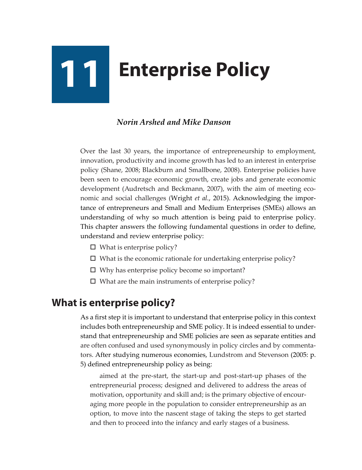# **11 Enterprise Policy**

## *Norin Arshed and Mike Danson*

Over the last 30 years, the importance of entrepreneurship to employment, innovation, productivity and income growth has led to an interest in enterprise policy (Shane, 2008; Blackburn and Smallbone, 2008). Enterprise policies have been seen to encourage economic growth, create jobs and generate economic development (Audretsch and Beckmann, 2007), with the aim of meeting economic and social challenges (Wright *et al.*, 2015). Acknowledging the importance of entrepreneurs and Small and Medium Enterprises (SMEs) allows an understanding of why so much attention is being paid to enterprise policy. This chapter answers the following fundamental questions in order to define, understand and review enterprise policy:

- $\Box$  What is enterprise policy?
- $\square$  What is the economic rationale for undertaking enterprise policy?
- $\Box$  Why has enterprise policy become so important?
- $\Box$  What are the main instruments of enterprise policy?

# **What is enterprise policy?**

As a first step it is important to understand that enterprise policy in this context includes both entrepreneurship and SME policy. It is indeed essential to understand that entrepreneurship and SME policies are seen as separate entities and are often confused and used synonymously in policy circles and by commentators. After studying numerous economies, Lundstrom and Stevenson (2005: p. 5) defined entrepreneurship policy as being:

aimed at the pre-start, the start-up and post-start-up phases of the entrepreneurial process; designed and delivered to address the areas of motivation, opportunity and skill and; is the primary objective of encouraging more people in the population to consider entrepreneurship as an option, to move into the nascent stage of taking the steps to get started and then to proceed into the infancy and early stages of a business.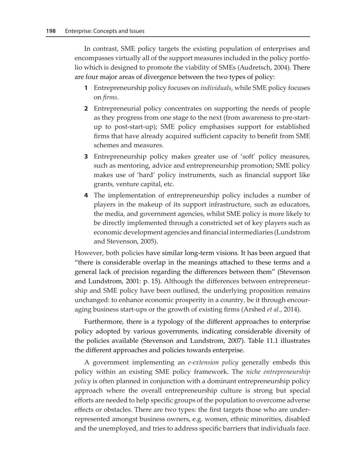In contrast, SME policy targets the existing population of enterprises and encompasses virtually all of the support measures included in the policy portfolio which is designed to promote the viability of SMEs (Audretsch, 2004). There are four major areas of divergence between the two types of policy:

- **1** Entrepreneurship policy focuses on *individuals*, while SME policy focuses on *firms*.
- **2** Entrepreneurial policy concentrates on supporting the needs of people as they progress from one stage to the next (from awareness to pre-startup to post-start-up); SME policy emphasises support for established firms that have already acquired sufficient capacity to benefit from SME schemes and measures.
- **3** Entrepreneurship policy makes greater use of 'soft' policy measures, such as mentoring, advice and entrepreneurship promotion; SME policy makes use of 'hard' policy instruments, such as financial support like grants, venture capital, etc.
- **4** The implementation of entrepreneurship policy includes a number of players in the makeup of its support infrastructure, such as educators, the media, and government agencies, whilst SME policy is more likely to be directly implemented through a constricted set of key players such as economic development agencies and financial intermediaries (Lundstrom and Stevenson, 2005).

However, both policies have similar long-term visions. It has been argued that "there is considerable overlap in the meanings attached to these terms and a general lack of precision regarding the differences between them" (Stevenson and Lundstrom, 2001: p. 15). Although the differences between entrepreneurship and SME policy have been outlined, the underlying proposition remains unchanged: to enhance economic prosperity in a country, be it through encouraging business start-ups or the growth of existing firms (Arshed *et al.*, 2014).

Furthermore, there is a typology of the different approaches to enterprise policy adopted by various governments, indicating considerable diversity of the policies available (Stevenson and Lundstrom, 2007). Table 11.1 illustrates the different approaches and policies towards enterprise.

A government implementing an *e-extension policy* generally embeds this policy within an existing SME policy framework. The *niche entrepreneurship policy* is often planned in conjunction with a dominant entrepreneurship policy approach where the overall entrepreneurship culture is strong but special efforts are needed to help specific groups of the population to overcome adverse effects or obstacles. There are two types: the first targets those who are underrepresented amongst business owners, e.g. women, ethnic minorities, disabled and the unemployed, and tries to address specific barriers that individuals face.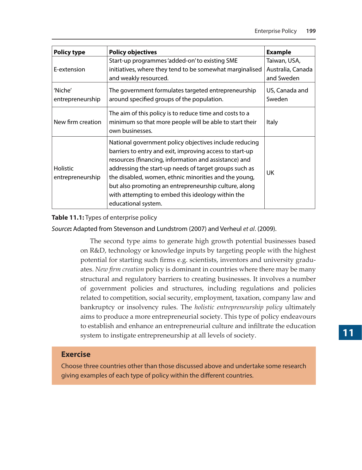| <b>Policy type</b>                  | <b>Policy objectives</b>                                                                                                                                                                                                                                                                                                                                                                                                            | <b>Example</b>                                  |
|-------------------------------------|-------------------------------------------------------------------------------------------------------------------------------------------------------------------------------------------------------------------------------------------------------------------------------------------------------------------------------------------------------------------------------------------------------------------------------------|-------------------------------------------------|
| E-extension                         | Start-up programmes 'added-on' to existing SME<br>initiatives, where they tend to be somewhat marginalised<br>and weakly resourced.                                                                                                                                                                                                                                                                                                 | Taiwan, USA,<br>Australia, Canada<br>and Sweden |
| 'Niche'<br>entrepreneurship         | The government formulates targeted entrepreneurship<br>around specified groups of the population.                                                                                                                                                                                                                                                                                                                                   | US, Canada and<br>Sweden                        |
| New firm creation                   | The aim of this policy is to reduce time and costs to a<br>minimum so that more people will be able to start their<br>own businesses.                                                                                                                                                                                                                                                                                               | <b>Italy</b>                                    |
| <b>Holistic</b><br>entrepreneurship | National government policy objectives include reducing<br>barriers to entry and exit, improving access to start-up<br>resources (financing, information and assistance) and<br>addressing the start-up needs of target groups such as<br>the disabled, women, ethnic minorities and the young,<br>but also promoting an entrepreneurship culture, along<br>with attempting to embed this ideology within the<br>educational system. | UK                                              |

#### **Table 11.1:** Types of enterprise policy

*Source***:** Adapted from Stevenson and Lundstrom (2007) and Verheul *et al*. (2009).

The second type aims to generate high growth potential businesses based on R&D, technology or knowledge inputs by targeting people with the highest potential for starting such firms e.g. scientists, inventors and university graduates. *New firm creation* policy is dominant in countries where there may be many structural and regulatory barriers to creating businesses. It involves a number of government policies and structures, including regulations and policies related to competition, social security, employment, taxation, company law and bankruptcy or insolvency rules. The *holistic entrepreneurship policy* ultimately aims to produce a more entrepreneurial society. This type of policy endeavours to establish and enhance an entrepreneurial culture and infiltrate the education system to instigate entrepreneurship at all levels of society.

### **Exercise**

Choose three countries other than those discussed above and undertake some research giving examples of each type of policy within the different countries.